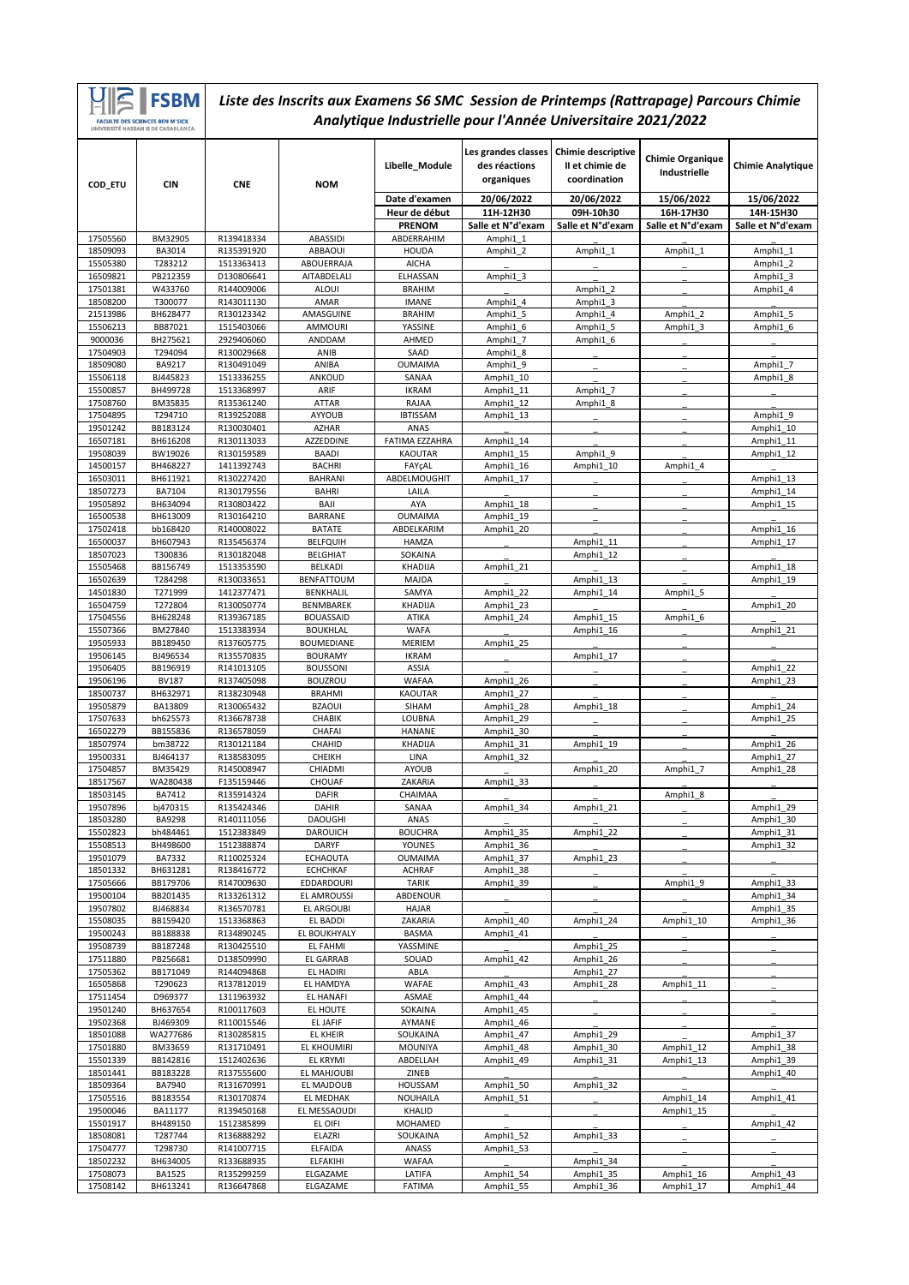|                      | <b>FSBM</b>                                                                          |                          | Liste des Inscrits aux Examens S6 SMC Session de Printemps (Rattrapage) Parcours Chimie |                               |                                                              |                                                       |                                         |                          |
|----------------------|--------------------------------------------------------------------------------------|--------------------------|-----------------------------------------------------------------------------------------|-------------------------------|--------------------------------------------------------------|-------------------------------------------------------|-----------------------------------------|--------------------------|
|                      | <b>FACULTE DES SCIENCES BEN M'SICK</b><br><b>UNIVERSITÉ HASSAN II DE CASARI ANCA</b> |                          |                                                                                         |                               | Analytique Industrielle pour l'Année Universitaire 2021/2022 |                                                       |                                         |                          |
| COD_ETU              | <b>CIN</b>                                                                           | <b>CNE</b>               | <b>NOM</b>                                                                              | Libelle_Module                | Les grandes classes<br>des réactions<br>organiques           | Chimie descriptive<br>Il et chimie de<br>coordination | <b>Chimie Organique</b><br>Industrielle | <b>Chimie Analytique</b> |
|                      |                                                                                      |                          |                                                                                         | Date d'examen                 | 20/06/2022                                                   | 20/06/2022                                            | 15/06/2022                              | 15/06/2022               |
|                      |                                                                                      |                          |                                                                                         | Heur de début                 | 11H-12H30                                                    | 09H-10h30                                             | 16H-17H30                               | 14H-15H30                |
|                      |                                                                                      |                          |                                                                                         | <b>PRENOM</b>                 | Salle et N°d'exam                                            | Salle et N°d'exam                                     | Salle et N°d'exam                       | Salle et N°d'exam        |
| 17505560             | BM32905                                                                              | R139418334               | ABASSIDI                                                                                | ABDERRAHIM                    | Amphi1 1                                                     |                                                       |                                         |                          |
| 18509093             | BA3014                                                                               | R135391920               | ABBAOUI                                                                                 | <b>HOUDA</b>                  | Amphi1 2                                                     | Amphi1 1                                              | Amphi1 1                                | Amphi1 1                 |
| 15505380<br>16509821 | T283212<br>PB212359                                                                  | 1513363413<br>D130806641 | ABOUERRAJA<br>AITABDELALI                                                               | <b>AICHA</b><br>ELHASSAN      | Amphi1 3                                                     |                                                       |                                         | Amphi1 2<br>Amphi1 3     |
| 17501381             | W433760                                                                              | R144009006               | <b>ALOUI</b>                                                                            | <b>BRAHIM</b>                 |                                                              | Amphi1 2                                              |                                         | Amphi1 4                 |
| 18508200             | T300077                                                                              | R143011130               | AMAR                                                                                    | <b>IMANE</b>                  | Amphi1 4                                                     | Amphi1 3                                              |                                         |                          |
| 21513986             | BH628477                                                                             | R130123342               | AMASGUINE                                                                               | <b>BRAHIM</b>                 | Amphi1 5                                                     | Amphi1 4                                              | Amphi1 2                                | Amphi1 5                 |
| 15506213<br>9000036  | BB87021<br>BH275621                                                                  | 1515403066<br>2929406060 | AMMOURI                                                                                 | YASSINE                       | Amphi1 6<br>Amphi1 7                                         | Amphi1 5<br>Amphi1 6                                  | Amphi1 3                                | Amphi1 6                 |
| 17504903             | T294094                                                                              | R130029668               | ANDDAM<br>ANIB                                                                          | AHMED<br>SAAD                 | Amphi1 8                                                     |                                                       |                                         |                          |
| 18509080             | BA9217                                                                               | R130491049               | ANIBA                                                                                   | <b>OUMAIMA</b>                | Amphi1 9                                                     |                                                       |                                         | Amphi1 7                 |
| 15506118             | BJ445823                                                                             | 1513336255               | ANKOUD                                                                                  | SANAA                         | Amphi1 10                                                    |                                                       |                                         | Amphi1 8                 |
| 15500857             | BH499728                                                                             | 1513368997               | ARIF                                                                                    | <b>IKRAM</b>                  | Amphi1 11                                                    | Amphi1 7                                              |                                         |                          |
| 17508760             | BM35835                                                                              | R135361240               | <b>ATTAR</b>                                                                            | RAJAA                         | Amphi1 12                                                    | Amphi1 8                                              |                                         |                          |
| 17504895<br>19501242 | T294710<br>BB183124                                                                  | R139252088<br>R130030401 | AYYOUB<br><b>AZHAR</b>                                                                  | <b>IBTISSAM</b><br>ANAS       | Amphi1 13                                                    |                                                       |                                         | Amphi1 9<br>Amphi1 10    |
| 16507181             | BH616208                                                                             | R130113033               | AZZEDDINE                                                                               | <b>FATIMA EZZAHRA</b>         | Amphi1 14                                                    |                                                       |                                         | Amphi1 11                |
| 19508039             | BW19026                                                                              | R130159589               | <b>BAADI</b>                                                                            | KAOUTAR                       | Amphi1 15                                                    | Amphi1 9                                              |                                         | Amphi1 12                |
| 14500157             | BH468227                                                                             | 1411392743               | <b>BACHRI</b>                                                                           | FAYÇAL                        | Amphi1 16                                                    | Amphi1 10                                             | Amphi1 4                                |                          |
| 16503011             | BH611921<br>BA7104                                                                   | R130227420<br>R130179556 | <b>BAHRANI</b>                                                                          | ABDELMOUGHIT<br>LAILA         | Amphi1 17                                                    |                                                       |                                         | Amphi1 13<br>Amphi1 14   |
| 18507273<br>19505892 | BH634094                                                                             | R130803422               | <b>BAHRI</b><br>BAJI                                                                    | AYA                           | Amphi1 18                                                    |                                                       |                                         | Amphi1 15                |
| 16500538             | BH613009                                                                             | R130164210               | <b>BARRANE</b>                                                                          | <b>OUMAIMA</b>                | Amphi1 19                                                    |                                                       |                                         |                          |
| 17502418             | bb168420                                                                             | R140008022               | <b>BATATE</b>                                                                           | ABDELKARIM                    | Amphi1 20                                                    |                                                       |                                         | Amphi1 16                |
| 16500037             | BH607943                                                                             | R135456374               | <b>BELFQUIH</b>                                                                         | <b>HAMZA</b>                  |                                                              | Amphi1 11                                             |                                         | Amphi1_17                |
| 18507023             | T300836                                                                              | R130182048               | <b>BELGHIAT</b>                                                                         | SOKAINA                       |                                                              | Amphi1 12                                             |                                         |                          |
| 15505468<br>16502639 | BB156749<br>T284298                                                                  | 1513353590<br>R130033651 | BELKADI<br>BENFATTOUM                                                                   | KHADIJA<br>MAJDA              | Amphi1 21                                                    | Amphi1 13                                             |                                         | Amphi1 18<br>Amphi1 19   |
| 14501830             | T271999                                                                              | 1412377471               | BENKHALIL                                                                               | SAMYA                         | Amphi1 22                                                    | Amphi1 14                                             | Amphi1 5                                |                          |
| 16504759             | T272804                                                                              | R130050774               | <b>BENMBAREK</b>                                                                        | <b>KHADIJA</b>                | Amphi1 23                                                    |                                                       |                                         | Amphi1 20                |
| 17504556             | BH628248                                                                             | R139367185               | <b>BOUASSAID</b>                                                                        | ATIKA                         | Amphi1 24                                                    | Amphi1 15                                             | Amphi1 6                                |                          |
| 15507366             | BM27840                                                                              | 1513383934               | <b>BOUKHLAL</b>                                                                         | <b>WAFA</b>                   |                                                              | Amphi1 16                                             |                                         | Amphi1 21                |
| 19505933<br>19506145 | BB189450<br>BJ496534                                                                 | R137605775<br>R135570835 | <b>BOUMEDIANE</b><br><b>BOURAMY</b>                                                     | <b>MERIEM</b><br><b>IKRAM</b> | Amphi1 25                                                    | Amphi1 17                                             |                                         |                          |
| 19506405             | BB196919                                                                             | R141013105               | <b>BOUSSONI</b>                                                                         | ASSIA                         |                                                              |                                                       |                                         | Amphi1 22                |
| 19506196             | <b>BV187</b>                                                                         | R137405098               | <b>BOUZROU</b>                                                                          | <b>WAFAA</b>                  | Amphi1 26                                                    |                                                       |                                         | Amphi1 23                |
| 18500737             | BH632971                                                                             | R138230948               | <b>BRAHMI</b>                                                                           | <b>KAOUTAR</b>                | Amphi1 27                                                    |                                                       |                                         |                          |
| 19505879             | BA13809                                                                              | R130065432               | <b>BZAOUI</b>                                                                           | SIHAM                         | Amphi1 28                                                    | Amphi1 18                                             |                                         | Amphi1 24                |
| 17507633<br>16502279 | bh625573<br>BB155836                                                                 | R136678738<br>R136578059 | CHABIK<br>CHAFAI                                                                        | LOUBNA<br>HANANE              | Amphi1 29<br>Amphi1 30                                       |                                                       |                                         | Amphi1 25                |
| 18507974             | bm38722                                                                              | R130121184               | CHAHID                                                                                  | KHADIJA                       | Amphi1_31                                                    | Amphi1 19                                             |                                         | Amphi1 26                |
| 19500331             | BJ464137                                                                             | R138583095               | CHEIKH                                                                                  | LINA                          | Amphi1 32                                                    |                                                       |                                         | Amphi1 27                |
| 17504857             | BM35429                                                                              | R145008947               | CHIADMI                                                                                 | <b>AYOUB</b>                  |                                                              | Amphi1 20                                             | Amphi1 7                                | Amphi1 28                |
| 18517567             | WA280438                                                                             | F135159446               | CHOUAF                                                                                  | ZAKARIA                       | Amphi1 33                                                    |                                                       |                                         |                          |
| 18503145<br>19507896 | BA7412<br>bj470315                                                                   | R135914324<br>R135424346 | <b>DAFIR</b><br>DAHIR                                                                   | CHAIMAA<br>SANAA              | Amphi1 34                                                    | Amphi1_21                                             | Amphi1 8                                | Amphi1 29                |
| 18503280             | BA9298                                                                               | R140111056               | <b>DAOUGHI</b>                                                                          | ANAS                          |                                                              |                                                       |                                         | Amphi1 30                |
| 15502823             | bh484461                                                                             | 1512383849               | <b>DAROUICH</b>                                                                         | <b>BOUCHRA</b>                | Amphi1 35                                                    | Amphi1 22                                             |                                         | Amphi1 31                |
| 15508513             | BH498600                                                                             | 1512388874               | <b>DARYF</b>                                                                            | YOUNES                        | Amphi1 36                                                    |                                                       |                                         | Amphi1 32                |
| 19501079             | BA7332                                                                               | R110025324               | <b>ECHAOUTA</b>                                                                         | <b>OUMAIMA</b>                | Amphi1 37                                                    | Amphi1 23                                             |                                         |                          |
| 18501332<br>17505666 | BH631281<br>BB179706                                                                 | R138416772<br>R147009630 | <b>ECHCHKAF</b><br>EDDARDOURI                                                           | <b>ACHRAF</b><br><b>TARIK</b> | Amphi1 38<br>Amphi1 39                                       |                                                       | Amphi1 9                                | Amphi1 33                |
| 19500104             | BB201435                                                                             | R133261312               | <b>EL AMROUSSI</b>                                                                      | ABDENOUR                      |                                                              |                                                       |                                         | Amphi1 34                |
| 19507802             | BJ468834                                                                             | R136570781               | EL ARGOUBI                                                                              | <b>HAJAR</b>                  |                                                              |                                                       |                                         | Amphi1 35                |
| 15508035             | BB159420                                                                             | 1513368863               | EL BADDI                                                                                | ZAKARIA                       | Amphi1 40                                                    | Amphi1 24                                             | Amphi1 10                               | Amphi1 36                |
| 19500243             | BB188838                                                                             | R134890245               | EL BOUKHYALY                                                                            | <b>BASMA</b>                  | Amphi1 41                                                    |                                                       |                                         |                          |
| 19508739<br>17511880 | BB187248<br>PB256681                                                                 | R130425510<br>D138509990 | EL FAHMI<br><b>EL GARRAB</b>                                                            | YASSMINE<br>SOUAD             | Amphi1 42                                                    | Amphi1 25<br>Amphi1 26                                |                                         |                          |
| 17505362             | BB171049                                                                             | R144094868               | EL HADIRI                                                                               | ABLA                          |                                                              | Amphi1 27                                             |                                         |                          |
| 16505868             | T290623                                                                              | R137812019               | EL HAMDYA                                                                               | <b>WAFAE</b>                  | Amphi1 43                                                    | Amphi1 28                                             | Amphi1 11                               |                          |
| 17511454             | D969377                                                                              | 1311963932               | EL HANAFI                                                                               | ASMAE                         | Amphi1 44                                                    |                                                       |                                         |                          |
| 19501240             | BH637654                                                                             | R100117603               | EL HOUTE                                                                                | SOKAINA                       | Amphi1 45                                                    |                                                       |                                         |                          |
| 19502368<br>18501088 | BJ469309<br>WA277686                                                                 | R110015546<br>R130285815 | EL JAFIF<br><b>EL KHEIR</b>                                                             | AYMANE<br>SOUKAINA            | Amphi1 46<br>Amphi1 47                                       | Amphi1 29                                             |                                         | Amphi1 37                |
| 17501880             | BM33659                                                                              | R131710491               | EL KHOUMIRI                                                                             | MOUNIYA                       | Amphi1 48                                                    | Amphi1 30                                             | Amphi1 12                               | Amphi1 38                |
| 15501339             | BB142816                                                                             | 1512402636               | EL KRYMI                                                                                | ABDELLAH                      | Amphi1 49                                                    | Amphi1 31                                             | Amphi1 13                               | Amphi1 39                |
| 18501441             | BB183228                                                                             | R137555600               | EL MAHJOUBI                                                                             | ZINEB                         |                                                              |                                                       |                                         | Amphi1 40                |
| 18509364             | BA7940                                                                               | R131670991               | EL MAJDOUB                                                                              | <b>HOUSSAM</b>                | Amphi1 50                                                    | Amphi1 32                                             |                                         |                          |
| 17505516             | BB183554                                                                             | R130170874               | EL MEDHAK                                                                               | NOUHAILA                      | Amphi1 51                                                    |                                                       | Amphi1 14                               | Amphi1 41                |
| 19500046<br>15501917 | BA11177<br>BH489150                                                                  | R139450168<br>1512385899 | EL MESSAOUDI<br>EL OIFI                                                                 | KHALID<br>MOHAMED             |                                                              |                                                       | Amphi1 15                               | Amphi1_42                |
| 18508081             | T287744                                                                              | R136888292               | ELAZRI                                                                                  | SOUKAINA                      | Amphi1 52                                                    | Amphi1 33                                             |                                         |                          |
| 17504777             | T298730                                                                              | R141007715               | <b>ELFAIDA</b>                                                                          | ANASS                         | Amphi1 53                                                    |                                                       |                                         |                          |
| 18502232             | BH634005                                                                             | R133688935               | ELFAKIHI                                                                                | <b>WAFAA</b>                  |                                                              | Amphi1 34                                             |                                         |                          |
| 17508073             | <b>BA1525</b>                                                                        | R135299259               | ELGAZAME                                                                                | LATIFA                        | Amphi1 54                                                    | Amphi1 35                                             | Amphi1 16                               | Amphi1 43                |
| 17508142             | BH613241                                                                             | R136647868               | ELGAZAME                                                                                | <b>FATIMA</b>                 | Amphi1_55                                                    | Amphi1_36                                             | Amphi1_17                               | Amphi1 44                |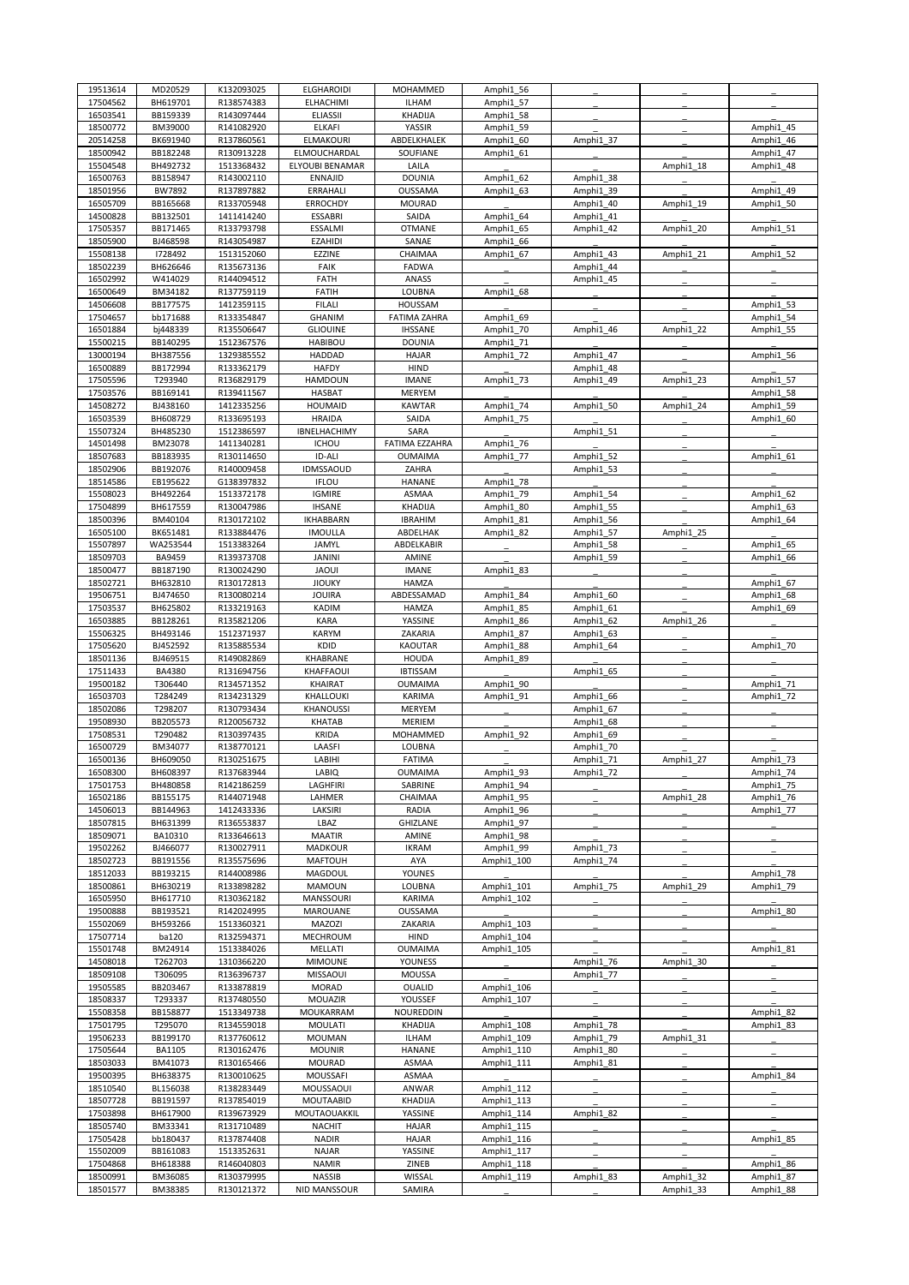| 19513614             | MD20529              | K132093025               | <b>ELGHAROIDI</b>                | MOHAMMED                 | Amphi1 56                |                        |           |                        |
|----------------------|----------------------|--------------------------|----------------------------------|--------------------------|--------------------------|------------------------|-----------|------------------------|
| 17504562             | BH619701             | R138574383               | ELHACHIMI                        | <b>ILHAM</b>             | Amphi1 57                |                        |           |                        |
| 16503541             | BB159339             | R143097444               | <b>ELIASSII</b>                  | KHADIJA                  | Amphi1 58                |                        |           |                        |
| 18500772             | BM39000              | R141082920               | <b>ELKAFI</b>                    | YASSIR                   | Amphi1 59                |                        |           | Amphi1 45              |
| 20514258             | BK691940             | R137860561               | <b>ELMAKOURI</b>                 | ABDELKHALEK              | Amphi1 60                | Amphi1_37              |           | Amphi1 46              |
| 18500942             | BB182248             | R130913228               | ELMOUCHARDAL                     | SOUFIANE                 | Amphi1 61                |                        |           | Amphi1 47              |
| 15504548             | BH492732             | 1513368432               | ELYOUBI BENAMAR                  | LAILA                    |                          |                        | Amphi1 18 | Amphi1_48              |
| 16500763<br>18501956 | BB158947<br>BW7892   | R143002110<br>R137897882 | <b>ENNAJID</b><br>ERRAHALI       | <b>DOUNIA</b><br>OUSSAMA | Amphi1 62<br>Amphi1 63   | Amphi1 38<br>Amphi1 39 |           | Amphi1 49              |
| 16505709             | BB165668             | R133705948               | <b>ERROCHDY</b>                  | <b>MOURAD</b>            |                          | Amphi1 40              | Amphi1 19 | Amphi1 50              |
| 14500828             | BB132501             | 1411414240               | <b>ESSABRI</b>                   | SAIDA                    | Amphi1 64                | Amphi1 41              |           |                        |
| 17505357             | BB171465             | R133793798               | ESSALMI                          | <b>OTMANE</b>            | Amphi1 65                | Amphi1 42              | Amphi1 20 | Amphi1 51              |
| 18505900             | BJ468598             | R143054987               | <b>EZAHIDI</b>                   | SANAE                    | Amphi1 66                |                        |           |                        |
| 15508138             | 1728492              | 1513152060               | EZZINE                           | CHAIMAA                  | Amphi1 67                | Amphi1 43              | Amphi1 21 | Amphi1 52              |
| 18502239             | BH626646             | R135673136               | FAIK                             | FADWA                    |                          | Amphi1 44              |           |                        |
| 16502992             | W414029              | R144094512               | FATH                             | ANASS                    |                          | Amphi1 45              |           |                        |
| 16500649             | BM34182              | R137759119               | <b>FATIH</b>                     | LOUBNA                   | Amphi1 68                |                        |           |                        |
| 14506608             | BB177575             | 1412359115               | <b>FILALI</b>                    | HOUSSAM                  |                          |                        |           | Amphi1 53              |
| 17504657             | bb171688             | R133354847               | GHANIM                           | <b>FATIMA ZAHRA</b>      | Amphi1 69                |                        |           | Amphi1 54              |
| 16501884             | bj448339             | R135506647               | <b>GLIOUINE</b>                  | <b>IHSSANE</b>           | Amphi1 70                | Amphi1 46              | Amphi1 22 | Amphi1 55              |
| 15500215             | BB140295             | 1512367576               | <b>HABIBOU</b>                   | <b>DOUNIA</b>            | Amphi1 71                |                        |           |                        |
| 13000194             | BH387556             | 1329385552               | <b>HADDAD</b>                    | <b>HAJAR</b>             | Amphi1 72                | Amphi1 47              |           | Amphi1_56              |
| 16500889             | BB172994             | R133362179               | <b>HAFDY</b>                     | HIND                     |                          | Amphi1 48              |           |                        |
| 17505596             | T293940              | R136829179               | <b>HAMDOUN</b>                   | <b>IMANE</b>             | Amphi1 73                | Amphi1 49              | Amphi1 23 | Amphi1 57              |
| 17503576             | BB169141             | R139411567               | <b>HASBAT</b>                    | <b>MERYEM</b>            |                          |                        |           | Amphi1 58              |
| 14508272             | BJ438160             | 1412335256               | <b>HOUMAID</b>                   | <b>KAWTAR</b>            | Amphi1 74                | Amphi1 50              | Amphi1 24 | Amphi1_59              |
| 16503539             | BH608729             | R133695193               | <b>HRAIDA</b>                    | SAIDA                    | Amphi1 75                |                        |           | Amphi1 60              |
| 15507324             | BH485230             | 1512386597               | IBNELHACHIMY                     | SARA                     |                          | Amphi1 51              |           |                        |
| 14501498             | BM23078              | 1411340281               | <b>ICHOU</b>                     | FATIMA EZZAHRA           | Amphi1 76                |                        |           |                        |
| 18507683             | BB183935             | R130114650               | ID-ALI                           | <b>OUMAIMA</b>           | Amphi1 77                | Amphi1 52<br>Amphi1 53 |           | Amphi1 61              |
| 18502906             | BB192076<br>EB195622 | R140009458<br>G138397832 | <b>IDMSSAOUD</b><br><b>IFLOU</b> | ZAHRA<br>HANANE          |                          |                        |           |                        |
| 18514586             | BH492264             |                          |                                  | ASMAA                    | Amphi1 78                |                        |           |                        |
| 15508023<br>17504899 | BH617559             | 1513372178<br>R130047986 | <b>IGMIRE</b><br><b>IHSANE</b>   | KHADIJA                  | Amphi1 79<br>Amphi1 80   | Amphi1 54<br>Amphi1 55 |           | Amphi1 62<br>Amphi1 63 |
| 18500396             | BM40104              | R130172102               | <b>IKHABBARN</b>                 | <b>IBRAHIM</b>           | Amphi1 81                | Amphi1 56              |           | Amphi1 64              |
| 16505100             | BK651481             | R133884476               | <b>IMOULLA</b>                   | ABDELHAK                 | Amphi1 82                | Amphi1 57              | Amphi1 25 |                        |
| 15507897             | WA253544             | 1513383264               | JAMYL                            | ABDELKABIR               |                          | Amphi1 58              |           | Amphi1 65              |
| 18509703             | BA9459               | R139373708               | <b>JANINI</b>                    | AMINE                    |                          | Amphi1 59              |           | Amphi1 66              |
| 18500477             | BB187190             | R130024290               | <b>JAOUI</b>                     | <b>IMANE</b>             | Amphi1 83                |                        |           |                        |
| 18502721             | BH632810             | R130172813               | <b>JIOUKY</b>                    | HAMZA                    |                          |                        |           | Amphi1 67              |
| 19506751             | BJ474650             | R130080214               | <b>JOUIRA</b>                    | ABDESSAMAD               | Amphi1 84                | Amphi1 60              |           | Amphi1 68              |
| 17503537             | BH625802             | R133219163               | KADIM                            | <b>HAMZA</b>             | Amphi1 85                | Amphi1 61              |           | Amphi1 69              |
| 16503885             | BB128261             | R135821206               | <b>KARA</b>                      | YASSINE                  | Amphi1 86                | Amphi1 62              | Amphi1 26 |                        |
| 15506325             | BH493146             | 1512371937               | <b>KARYM</b>                     | ZAKARIA                  | Amphi1 87                | Amphi1 63              |           |                        |
| 17505620             | BJ452592             | R135885534               | KDID                             | KAOUTAR                  | Amphi1 88                | Amphi1 64              |           | Amphi1 70              |
| 18501136             | BJ469515             | R149082869               | KHABRANE                         | <b>HOUDA</b>             | Amphi1 89                |                        |           |                        |
| 17511433             | BA4380               | R131694756               | KHAFFAOUI                        | <b>IBTISSAM</b>          |                          | Amphi1_65              |           |                        |
| 19500182             | T306440              | R134571352               | KHAIRAT                          | <b>OUMAIMA</b>           | Amphi1 90                |                        |           | Amphi1 71              |
| 16503703             | T284249              | R134231329               | KHALLOUKI                        | KARIMA                   | Amphi1 91                | Amphi1 66              |           | Amphi1 72              |
| 18502086             | T298207              | R130793434               | <b>KHANOUSSI</b>                 | MERYEM                   |                          | Amphi1 67              |           |                        |
| 19508930             | BB205573             | R120056732               | KHATAB                           | <b>MERIEM</b>            |                          | Amphi1 68              |           |                        |
| 17508531             | T290482              | R130397435               | <b>KRIDA</b>                     | MOHAMMED                 | Amphi1 92                | Amphi1 69              |           |                        |
| 16500729             | BM34077              | R138770121               | LAASFI                           | LOUBNA                   |                          | Amphi1 70              |           |                        |
| 16500136             | BH609050             | R130251675               | LABIHI                           | FATIMA                   |                          | Amphi1_71              | Amphi1 27 | Amphi1 73              |
| 16508300             | BH608397             | R137683944               | LABIQ                            | <b>OUMAIMA</b>           | Amphi1 93                | Amphi1_72              |           | Amphi1_74              |
| 17501753<br>16502186 | BH480858<br>BB155175 | R142186259<br>R144071948 | LAGHFIRI<br>LAHMER               | SABRINE<br>CHAIMAA       | Amphi1 94<br>Amphi1 95   |                        | Amphi1 28 | Amphi1 75<br>Amphi1 76 |
| 14506013             | BB144963             | 1412433336               | LAKSIRI                          | RADIA                    | Amphi1 96                |                        |           | Amphi1 77              |
| 18507815             | BH631399             | R136553837               | LBAZ                             | GHIZLANE                 | Amphi1 97                |                        |           |                        |
| 18509071             | BA10310              | R133646613               | <b>MAATIR</b>                    | AMINE                    | Amphi1 98                |                        |           |                        |
| 19502262             | BJ466077             | R130027911               | MADKOUR                          | <b>IKRAM</b>             | Amphi1 99                | Amphi1 73              |           |                        |
| 18502723             | BB191556             | R135575696               | <b>MAFTOUH</b>                   | AYA                      | Amphi1 100               | Amphi1 74              |           |                        |
| 18512033             | BB193215             | R144008986               | MAGDOUL                          | YOUNES                   |                          |                        |           | Amphi1 78              |
| 18500861             | BH630219             | R133898282               | MAMOUN                           | LOUBNA                   | Amphi1 101               | Amphi1_75              | Amphi1_29 | Amphi1 79              |
| 16505950             | BH617710             | R130362182               | MANSSOURI                        | KARIMA                   | Amphi1 102               |                        |           |                        |
| 19500888             | BB193521             | R142024995               | MAROUANE                         | OUSSAMA                  |                          |                        |           | Amphi1 80              |
| 15502069             | BH593266             | 1513360321               | MAZOZI                           | ZAKARIA                  | Amphi1 103               |                        |           |                        |
| 17507714             | ba120                | R132594371               | MECHROUM                         | HIND                     | Amphi1 104               |                        |           |                        |
| 15501748             | BM24914              | 1513384026               | MELLATI                          | <b>OUMAIMA</b>           | Amphi1_105               |                        |           | Amphi1 81              |
| 14508018             | T262703              | 1310366220               | <b>MIMOUNE</b>                   | YOUNESS                  |                          | Amphi1_76              | Amphi1 30 |                        |
| 18509108             | T306095              | R136396737               | <b>MISSAOUI</b>                  | <b>MOUSSA</b>            |                          | Amphi1 77              |           |                        |
| 19505585             | BB203467             | R133878819               | <b>MORAD</b>                     | OUALID                   | Amphi1 106               |                        |           |                        |
| 18508337             | T293337              | R137480550               | MOUAZIR                          | YOUSSEF                  | Amphi1 107               |                        |           |                        |
| 15508358             | BB158877             | 1513349738               | MOUKARRAM                        | NOUREDDIN                |                          |                        |           | Amphi1 82              |
| 17501795             | T295070              | R134559018               | MOULATI                          | KHADIJA                  | Amphi1 108               | Amphi1 78              |           | Amphi1 83              |
| 19506233             | BB199170             | R137760612               | <b>MOUMAN</b>                    | <b>ILHAM</b>             | Amphi1 109               | Amphi1 79              | Amphi1_31 |                        |
| 17505644             | <b>BA1105</b>        | R130162476               | <b>MOUNIR</b>                    | HANANE                   | Amphi1 110               | Amphi1 80              |           |                        |
| 18503033             | BM41073              | R130165466               | <b>MOURAD</b>                    | ASMAA                    | Amphi1 111               | Amphi1 81              |           |                        |
| 19500395             | BH638375             | R130010625               | MOUSSAFI                         | ASMAA                    |                          |                        |           | Amphi1 84              |
| 18510540<br>18507728 | BL156038<br>BB191597 | R138283449<br>R137854019 | MOUSSAOUI<br><b>MOUTAABID</b>    | ANWAR<br>KHADIJA         | Amphi1 112<br>Amphi1 113 |                        |           |                        |
| 17503898             | BH617900             | R139673929               | MOUTAOUAKKIL                     | YASSINE                  | Amphi1_114               | Amphi1 82              |           |                        |
| 18505740             | BM33341              | R131710489               | <b>NACHIT</b>                    | <b>HAJAR</b>             | Amphi1 115               |                        |           |                        |
| 17505428             | bb180437             | R137874408               | <b>NADIR</b>                     | <b>HAJAR</b>             | Amphi1 116               |                        |           | Amphi1 85              |
| 15502009             | BB161083             | 1513352631               | <b>NAJAR</b>                     | YASSINE                  | Amphi1_117               |                        |           |                        |
| 17504868             | BH618388             | R146040803               | <b>NAMIR</b>                     | ZINEB                    | Amphi1_118               |                        |           | Amphi1 86              |
| 18500991             | BM36085              | R130379995               | <b>NASSIB</b>                    | WISSAL                   | Amphi1 119               | Amphi1_83              | Amphi1 32 | Amphi1 87              |
|                      |                      |                          | NID MANSSOUR                     | SAMIRA                   |                          |                        | Amphi1 33 | Amphi1 88              |
| 18501577             | BM38385              | R130121372               |                                  |                          |                          |                        |           |                        |